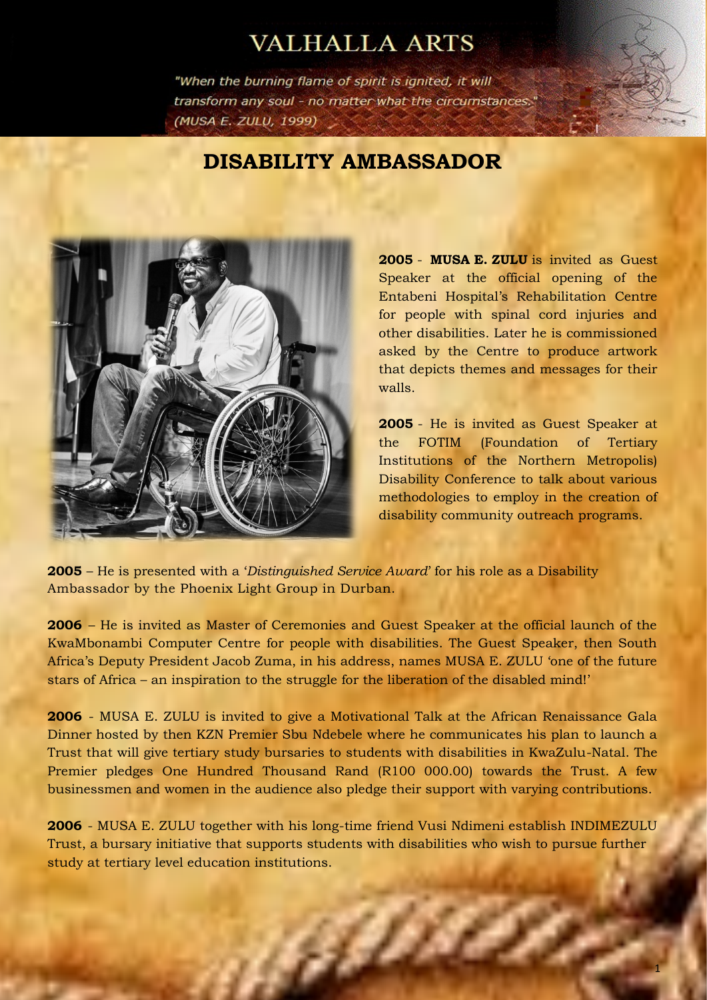## **VALHALLA ARTS**

"When the burning flame of spirit is ignited, it will transform any soul - no matter what the circumstances." (MUSA E. ZULU, 1999)

## **DISABILITY AMBASSADOR**



**2005** - **MUSA E. ZULU** is invited as Guest Speaker at the official opening of the Entabeni Hospital's Rehabilitation Centre for people with spinal cord injuries and other disabilities. Later he is commissioned asked by the Centre to produce artwork that depicts themes and messages for their walls.

**2005** - He is invited as Guest Speaker at the FOTIM (Foundation of Tertiary Institutions of the Northern Metropolis) Disability Conference to talk about various methodologies to employ in the creation of disability community outreach programs.

**2005** – He is presented with a '*Distinguished Service Award*' for his role as a Disability Ambassador by the Phoenix Light Group in Durban.

**2006** – He is invited as Master of Ceremonies and Guest Speaker at the official launch of the KwaMbonambi Computer Centre for people with disabilities. The Guest Speaker, then South Africa's Deputy President Jacob Zuma, in his address, names MUSA E. ZULU 'one of the future stars of Africa – an inspiration to the struggle for the liberation of the disabled mind!'

**2006** - MUSA E. ZULU is invited to give a Motivational Talk at the African Renaissance Gala Dinner hosted by then KZN Premier Sbu Ndebele where he communicates his plan to launch a Trust that will give tertiary study bursaries to students with disabilities in KwaZulu-Natal. The Premier pledges One Hundred Thousand Rand (R100 000.00) towards the Trust. A few businessmen and women in the audience also pledge their support with varying contributions.

**2006** - MUSA E. ZULU together with his long-time friend Vusi Ndimeni establish INDIMEZULU Trust, a bursary initiative that supports students with disabilities who wish to pursue further study at tertiary level education institutions.

6D)